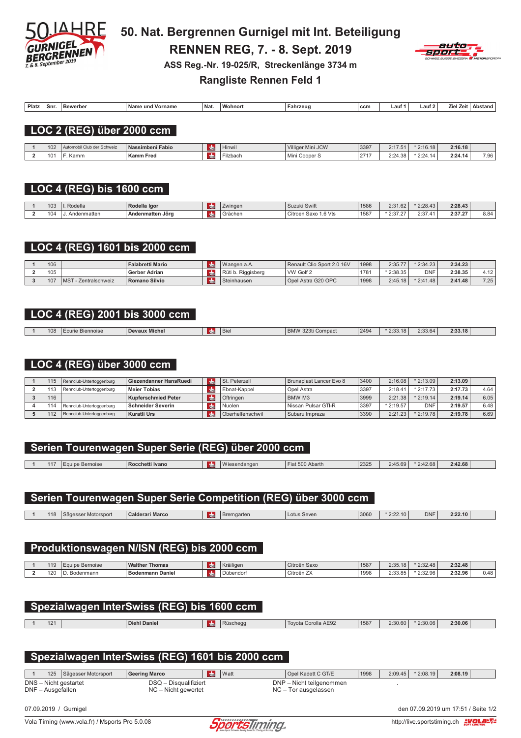

50. Nat. Bergrennen Gurnigel mit Int. Beteiligung **RENNEN REG, 7. - 8. Sept. 2019** ASS Reg.-Nr. 19-025/R, Streckenlänge 3734 m



Platz Snr. Bewerber Name und Vorname Nat. Wohnort Fahrzeug Lauf 1  $ccm$  $Laut2$ Ziel Zeit Abstand

**Rangliste Rennen Feld 1** 

#### LOC 2 (REG) über 2000 ccm

| 102 | I Club der Schweiz | Nassimbeni Fabio | $\cdots$<br>Hinwil | Villiger<br>Mini JCW          | 3397 | 0.47<br>4. I I . J | 1010<br>10.18 | 2:16.18<br>$- \cdot \cdot \cdot$ |      |
|-----|--------------------|------------------|--------------------|-------------------------------|------|--------------------|---------------|----------------------------------|------|
| 101 | Kamm               | <b>Kamm Fred</b> | ⊡ilzbacı           | Min<br>Conor:<br><b>COULD</b> | 0717 | 2.24<br>- 1.JU -   | 0.01          | 2:24.14                          | 7.96 |

# $LOG 4 (REG)$  bis 1600 ccm

| 103 | Rodella        | Rodella Igor     | Zwinger | $\cdots$<br>Suzuki Swift | 1586 | 2:31.62                     | 2:28.43      | 2:28.43 |                     |
|-----|----------------|------------------|---------|--------------------------|------|-----------------------------|--------------|---------|---------------------|
| 104 | lenmatten<br>. | Andenmatten Jörg | Grächer | 1.6 Vts<br>Citroen Saxo  | 1587 | $\sim$ $\sim$ $\sim$<br>، ت | 0.07<br>2.01 | 2:37.27 | $O$ $O$ $A$<br>⊶0.0 |

#### LOC 4 (REG) 1601 bis 2000 ccm

| 106 |                                     | <b>Falabretti Mario</b>    | Wangen a.A.        | Renault Clio Sport 2.0 16V | 1998 | 2:35.77    | $*2:34.23$ | 2:34.23 |                        |
|-----|-------------------------------------|----------------------------|--------------------|----------------------------|------|------------|------------|---------|------------------------|
| 105 |                                     | <sup>'</sup> Gerber Adrian | Rüti b. Riggisberg | VW Golf 2                  | 178' | $*2:38.35$ | <b>DNF</b> | 2:38.35 | $\overline{1}$<br>4.12 |
| 107 | MS <sup>-</sup><br>· Zentralschweiz | Romano Silvio              | Steinhausen        | Opel Astra G20 OPC         | 1998 | 2:45.18    | $*2:41.48$ | 2:41.48 | 7.25                   |

# LOC 4 (REG) 2001 bis 3000 ccm

| 108 | 3iennoise<br>curie | $- - -$<br>Devaux<br>. Michel | <b>Biel</b> | .001<br>ompac.<br>ום<br>$\cdots$ | 2494 | 2.2 | 2:33.64<br>. | 2:33.18 |  |
|-----|--------------------|-------------------------------|-------------|----------------------------------|------|-----|--------------|---------|--|
|     |                    |                               |             |                                  |      |     |              |         |  |

### LOC 4 (REG) über 3000 ccm

| 115 | Rennclub-Untertoggenburg | Giezendanner HansRuedi     | <b>CHI</b> | St. Peterzell    | Brunaplast Lancer Evo 8 | 3400 | 2:16.08    | $*2:13.09$ | 2:13.09 |      |
|-----|--------------------------|----------------------------|------------|------------------|-------------------------|------|------------|------------|---------|------|
| 113 | Rennclub-Untertoggenburg | <b>Meier Tobias</b>        | <b>RE</b>  | Ebnat-Kappel     | Opel Astra              | 3397 | 2:18.41    | $*2:17.73$ | 2:17.73 | 4.64 |
| 116 |                          | <b>Kupferschmied Peter</b> | <b>CHE</b> | Oftringen        | <b>BMW M3</b>           | 3999 | 2:21.38    | $*2:19.14$ | 2:19.14 | 6.05 |
| 114 | Rennclub-Untertoggenburg | <b>Schneider Severin</b>   | <b>CH</b>  | Nuolen           | Nissan Pulsar GTI-R     | 3397 | $*2:19.57$ | <b>DNF</b> | 2:19.57 | 6.48 |
| 112 | Rennclub-Untertoggenburg | Kuratli Urs                |            | Oberhelfenschwil | Subaru Impreza          | 3390 | 2:21.23    | 2:19.78    | 2:19.78 | 6.69 |

# Serien Tourenwagen Super Serie (REG) über 2000 ccm

| $\sim$<br>ш | Bernoise | Ivanc<br>Rocchetti | . . | <br>ndanden | $N$ horth<br>Avann<br>וריו | 2325 | $+5.69$ | --<br>:42.68 | 2:42.68 |  |
|-------------|----------|--------------------|-----|-------------|----------------------------|------|---------|--------------|---------|--|
|             |          |                    |     |             |                            |      |         |              |         |  |

#### Serien Tourenwagen Super Serie Competition (REG) über 3000 ccm

| 118<br>ser Motorsport<br>-Gaoccor | $\sim$<br>Nderari Marco<br>$\sim$ | ∘mɑarter | Lotus Seven | 3060 | 2:22.10 | <b>DNF</b><br>$- \cdot \cdot$ | 2:22.10<br>----- |  |
|-----------------------------------|-----------------------------------|----------|-------------|------|---------|-------------------------------|------------------|--|
|                                   |                                   |          |             |      |         |                               |                  |  |

# Produktionswagen N/ISN (REG) bis 2000 ccm

| 19  | Bernoise<br>uuu | <b>Walther</b><br>$-$<br>Thomas | <b>CHI</b> | Kräiligen | Citroën Saxo                          | 1587 | 0.00<br>$\triangle$<br>2.JJ.IO | $\Lambda$ C<br>$\sim$ 00<br>2.JZ.40 | 2.32A8<br>2.32.40                     |            |
|-----|-----------------|---------------------------------|------------|-----------|---------------------------------------|------|--------------------------------|-------------------------------------|---------------------------------------|------------|
| 120 | odenmanr        | --<br>enmann Daniel<br>D.       |            | Dübendorl | $\rightarrow$<br>$\sim$<br>rtroën ∠Xد | 1998 | 0.00<br>$^{\circ}$<br>2.99.99  | 1.32 QR<br>2.02.00                  | $2.329$ QC<br>- - - - - - - - - - - - | $\sqrt{2}$ |

| Spezialwagen InterSwiss (REG) bis 1600 ccm |  |              |           |          |                     |      |         |            |         |  |  |
|--------------------------------------------|--|--------------|-----------|----------|---------------------|------|---------|------------|---------|--|--|
| 121                                        |  | Diehl Daniel | <b>do</b> | Rüschegg | Tovota Corolla AE92 | 1587 | 2:30.60 | $*2:30.06$ | 2:30.06 |  |  |
|                                            |  |              |           |          |                     |      |         |            |         |  |  |
|                                            |  |              |           |          |                     |      |         |            |         |  |  |

# Spezialwagen InterSwiss (REG) 1601 bis 2000 ccm

 $\overline{1}$ 125 | Sägesser Motorsport **Geering Marco CHE** Watt Opel Kadett C GT/E 1998  $2:09.45$  \* 2:08.19 2:08.19 DNS - Nicht gestartet DSQ - Disqualifiziert DNP - Nicht teilgenommen DNF - Ausgefallen NC - Nicht gewertet NC - Tor ausgelassen

07.09.2019 / Gurnigel



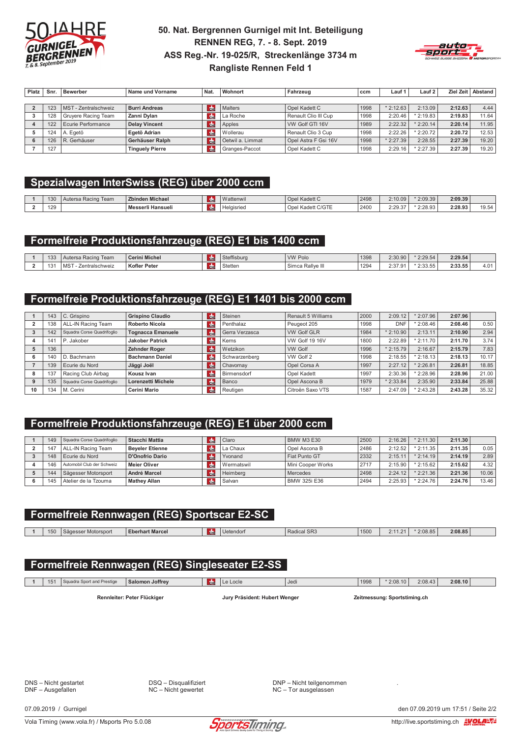

#### 50. Nat. Bergrennen Gurnigel mit Int. Beteiligung **RENNEN REG, 7. - 8. Sept. 2019** ASS Reg.-Nr. 19-025/R, Streckenlänge 3734 m **Rangliste Rennen Feld 1**



| Platz | Snr. | <b>Bewerber</b>            | Name und Vorname       | Nat.          | Wohnort          | Fahrzeug             | ccm  | Lauf 1     | Lauf 2     |         | Ziel Zeit   Abstand |
|-------|------|----------------------------|------------------------|---------------|------------------|----------------------|------|------------|------------|---------|---------------------|
|       |      |                            |                        |               |                  |                      |      |            |            |         |                     |
|       | 123  | MST - Zentralschweiz       | <b>Burri Andreas</b>   | $\frac{1}{2}$ | Malters          | Opel Kadett C        | 1998 | $*2:12.63$ | 2:13.09    | 2:12.63 | 4.44                |
|       | 128  | <b>Gruyere Racing Team</b> | Zanni Dvlan            | $\frac{1}{2}$ | La Roche         | Renault Clio III Cup | 1998 | 2:20.46    | $*2:19.83$ | 2:19.83 | 11.64               |
|       | 122  | Ecurie Performance         | <b>Delay Vincent</b>   | $\frac{1}{2}$ | Apples           | VW Golf GTI 16V      | 1989 | 2:22.32    | $*2:20.14$ | 2:20.14 | 11.95               |
|       | 124  | A. Egetö                   | Egetö Adrian           | $\frac{1}{2}$ | Wollerau         | Renault Clio 3 Cup   | 1998 | 2:22.26    | $*2:20.72$ | 2:20.72 | 12.53               |
|       | 126  | R. Gerhäuser               | Gerhäuser Ralph        | $\frac{1}{2}$ | Oetwil a. Limmat | Opel Astra F Gsi 16V | 1998 | $*2:27.39$ | 2:28.55    | 2:27.39 | 19.20               |
|       | 127  |                            | <b>Tinguely Pierre</b> | <b>CHE</b>    | Granges-Paccot   | Opel Kadett C        | 1998 | 2:29.16    | $*2:27.39$ | 2:27.39 | 19.20               |

# Spezialwagen InterSwiss (REG) über 2000 ccm

| 130 | Team<br>Aut<br>ersa Racing | <b>Zbinden Michael</b>   |             | $\overline{M}$<br>Vattenwi | Opel Kadett C                   | 2498 | 2:10.09 | 2:09.39 | 2:09.39 |                                    |
|-----|----------------------------|--------------------------|-------------|----------------------------|---------------------------------|------|---------|---------|---------|------------------------------------|
| 129 |                            | <b>Messerli Hansuell</b> | <b>TCHE</b> | Helaisried                 | $+100T$<br>Kadett C/GTE<br>Ope' | 2400 | 2:29.37 | 2:28.93 | 2:28.93 | $\sim$ $\sim$<br>$\cdots$<br>13.54 |

### Formelfreie Produktionsfahrzeuge (REG) E1 bis 1400 ccm

| 133 | ersa Racing Team<br>Aute | <b>Cerini Michel</b> | <b>CHL</b> | Steffisburg | VW Polo           | 1398        | 2:30.90          | 2:29.54           | 2:29.54 |  |
|-----|--------------------------|----------------------|------------|-------------|-------------------|-------------|------------------|-------------------|---------|--|
| 131 | MS<br>Zentralschweiz     | <b>Kofler Peter</b>  | <b>TCH</b> | Stetten     | Rallve I<br>Simca | 1294<br>___ | 2.3701<br>2.01.5 | 0.2255<br>2.00.00 | 2:33.55 |  |

#### Formelfreie Produktionsfahrzeuge (REG) E1 1401 bis 2000 ccm

|    | 143 | C. Grispino                | <b>Grispino Claudio</b>  | <b>CHI</b>    | Steinen        | Renault 5 Williams | 2000 | 2:09.12    | $*2:07.96$ | 2:07.96 |       |
|----|-----|----------------------------|--------------------------|---------------|----------------|--------------------|------|------------|------------|---------|-------|
|    | 138 | ALL-IN Racing Team         | <b>Roberto Nicola</b>    | $\frac{1}{2}$ | Penthalaz      | Peugeot 205        | 1998 | <b>DNF</b> | $*2:08.46$ | 2:08.46 | 0.50  |
|    | 142 | Squadra Corse Quadrifoglio | <b>Tognacca Emanuele</b> | Idh⊨          | Gerra Verzasca | <b>VW Golf GLR</b> | 1984 | 2:10.90    | 2:13.11    | 2:10.90 | 2.94  |
|    | 141 | Jakober                    | <b>Jakober Patrick</b>   | CHE           | Kerns          | VW Golf 19 16V     | 1800 | 2:22.89    | $*2:11.70$ | 2:11.70 | 3.74  |
|    | 136 |                            | <b>Zehnder Roger</b>     | <b>d</b>      | Wetzikon       | <b>VW Golf</b>     | 1996 | $*2:15.79$ | 2:16.67    | 2:15.79 | 7.83  |
|    | 140 | . Bachmann                 | <b>Bachmann Daniel</b>   | $ch$          | Schwarzenberg  | VW Golf 2          | 1998 | 2:18.55    | 2:18.13    | 2:18.13 | 10.17 |
|    | 139 | Ecurie du Nord             | Jäggi Joël               | Idh⊧          | Chavornav      | Opel Corsa A       | 1997 | 2:27.12    | $*2:26.81$ | 2:26.81 | 18.85 |
|    | 137 | Racing Club Airbag         | Kousz Ivan               | <b>R</b>      | Birmensdorf    | Opel Kadett        | 1997 | 2:30.36    | $*2:28.96$ | 2:28.96 | 21.00 |
|    | 135 | Squadra Corse Quadrifoglio | Lorenzetti Michele       | <b>CHE</b>    | <b>Banco</b>   | Opel Ascona B      | 1979 | 2:33.84    | 2:35.90    | 2:33.84 | 25.88 |
| 10 | 134 | . Cerini<br>M.             | <b>Cerini Mario</b>      | <b>R</b>      | Reutigen       | Citroën Saxo VTS   | 1587 | 2:47.09    | 2:43.28    | 2:43.28 | 35.32 |

#### Formelfreie Produktionsfahrzeuge (REG) E1 über 2000 ccm

| 149 | Squadra Corse Quadrifoglio | Stacchi Mattia         | <b>CHE</b>    | Claro        | BMW M3 E30          | 2500 | 2:16.26 | $*$ 2:11.30 | 2:11.30 |       |
|-----|----------------------------|------------------------|---------------|--------------|---------------------|------|---------|-------------|---------|-------|
| 147 | ALL-IN Racing Team         | <b>Beveler Etienne</b> | $\frac{1}{2}$ | La Chaux     | Opel Ascona B       | 2486 | 2:12.52 | $*$ 2:11.35 | 2:11.35 | 0.05  |
| 148 | Ecurie du Nord             | D'Onofrio Dario        | <b>The</b>    | Yvonand      | Fiat Punto GT       | 2332 | 2:15.11 | $*$ 2:14.19 | 2:14.19 | 2.89  |
| 146 | Automobil Club der Schweiz | <b>Meier Oliver</b>    | ran.          | l Wermatswil | Mini Cooper Works   | 2717 | 2:15.90 | * 2:15.62   | 2:15.62 | 4.32  |
| 144 | Sägesser Motorsport        | <b>André Marcel</b>    | <b>CHE</b>    | Heimberg     | Mercedes            | 2498 | 2:24.12 | $*$ 2:21.36 | 2:21.36 | 10.06 |
| 145 | Atelier de la Tzouma       | <b>Mathey Allan</b>    | CHI           | l Salvan     | <b>BMW 325i E36</b> | 2494 | 2:25.93 | $*2:24.76$  | 2:24.76 | 13.46 |

#### Formelfreie Rennwagen (REG) Sportscar E2-SC

1 | 150 | Sägesser Motorsport

**Eberhart Marcel**  $\frac{1}{\sqrt{\frac{1}{\sqrt{1}}}}$  Uetendorf

Radical SR3

 $1500$  2:11.21 \* 2:08.85 2:08.85

# Formelfreie Rennwagen (REG) Singleseater E2-SS

|  | 151                         | Squadra Sport and Prestige | Salomon Joffrey | <b>CHI</b>                    | Locle | 'Jed | 1998 | $*2:08.10$                   | 2:08.43 | 2:08.10 |  |
|--|-----------------------------|----------------------------|-----------------|-------------------------------|-------|------|------|------------------------------|---------|---------|--|
|  |                             |                            |                 |                               |       |      |      |                              |         |         |  |
|  | Rennleiter: Peter Flückiger |                            |                 | Jury Präsident: Hubert Wenger |       |      |      | Zeitmessung: Sportstiming.ch |         |         |  |

DNS - Nicht gestartet DNF - Ausgefallen

07.09.2019 / Gurnigel

DSQ - Disqualifiziert NC - Nicht gewertet

DNP - Nicht teilgenommen NC - Tor ausgelassen

den 07.09.2019 um 17:51 / Seite 2/2

Vola Timing (www.vola.fr) / Msports Pro 5.0.08



http://live.sportstiming.ch EVOLA-VE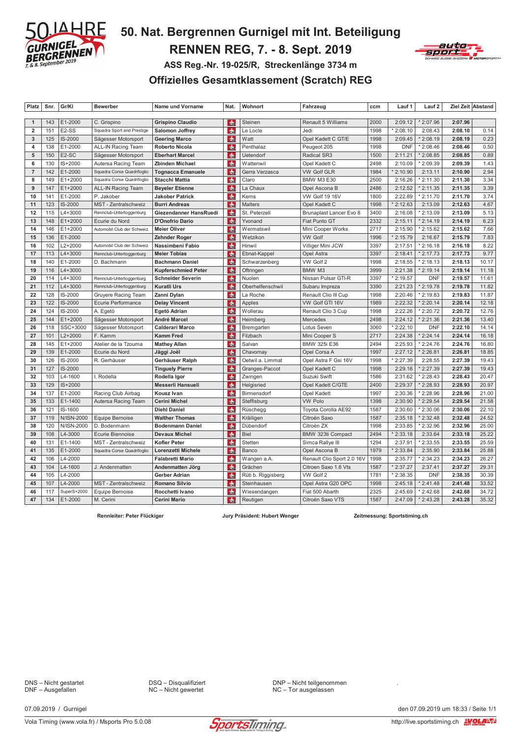

# 50. Nat. Bergrennen Gurnigel mit Int. Beteiligung **RENNEN REG, 7. - 8. Sept. 2019** ASS Reg.-Nr. 19-025/R, Streckenlänge 3734 m Offizielles Gesamtklassement (Scratch) REG



| Platz                   | Snr. | Gr/KI              | <b>Bewerber</b>            | Name und Vorname           | Nat.          | Wohnort            | Fahrzeug                   | ccm  | Lauf 1     | Lauf 2     |         | Ziel Zeit Abstand |
|-------------------------|------|--------------------|----------------------------|----------------------------|---------------|--------------------|----------------------------|------|------------|------------|---------|-------------------|
|                         |      |                    |                            |                            |               |                    |                            |      |            |            |         |                   |
| $\mathbf{1}$            | 143  | E1-2000            | C. Grispino                | <b>Grispino Claudio</b>    | <b>de</b>     | Steinen            | Renault 5 Williams         | 2000 | 2:09.12    | $*2:07.96$ | 2:07.96 |                   |
| $\overline{2}$          | 151  | E <sub>2</sub> -SS | Squadra Sport and Prestige | <b>Salomon Joffrey</b>     | $th$          | Le Locle           | Jedi                       | 1998 | 2:08.10    | 2:08.43    | 2:08.10 | 0.14              |
| $\mathbf{3}$            | 125  | IS-2000            | Sägesser Motorsport        | <b>Geering Marco</b>       | dh.           | Watt               | Opel Kadett C GT/E         | 1998 | 2:09.45    | * 2:08.19  | 2:08.19 | 0.23              |
| $\overline{\mathbf{4}}$ | 138  | E1-2000            | ALL-IN Racing Team         | <b>Roberto Nicola</b>      | $\frac{1}{2}$ | Penthalaz          | Peugeot 205                | 1998 | <b>DNF</b> | $*2:08.46$ | 2:08.46 | 0.50              |
| 5                       | 150  | E <sub>2</sub> -SC | Sägesser Motorsport        | <b>Eberhart Marcel</b>     | <b>de</b>     | Uetendorf          | <b>Radical SR3</b>         | 1500 | 2:11.21    | * 2:08.85  | 2:08.85 | 0.89              |
| 6                       | 130  | $IS + 2000$        | Autersa Racing Team        | <b>Zbinden Michael</b>     | <b>de</b>     | Wattenwil          | Opel Kadett C              | 2498 | 2:10.09    | * 2:09.39  | 2:09.39 | 1.43              |
| $\overline{7}$          | 142  | E1-2000            | Squadra Corse Quadrifoglio | <b>Tognacca Emanuele</b>   | <b>de</b>     | Gerra Verzasca     | <b>VW Golf GLR</b>         | 1984 | 2:10.90    | 2:13.11    | 2:10.90 | 2.94              |
| 8                       | 149  | $E1 + 2000$        | Squadra Corse Quadrifoglio | <b>Stacchi Mattia</b>      | <b>CHE</b>    | Claro              | <b>BMW M3 E30</b>          | 2500 | 2:16.26    | 2:11.30    | 2:11.30 | 3.34              |
| 9                       | 147  | $E1+2000$          | <b>ALL-IN Racing Team</b>  | <b>Beyeler Etienne</b>     | <b>dh</b>     | La Chaux           | Opel Ascona B              | 2486 | 2:12.52    | $*2:11.35$ | 2:11.35 | 3.39              |
| 10                      | 141  | E1-2000            | P. Jakober                 | Jakober Patrick            | <b>de</b>     | Kerns              | VW Golf 19 16V             | 1800 | 2:22.89    | 2:11.70    | 2:11.70 | 3.74              |
| 11                      | 123  | IS-2000            | MST - Zentralschweiz       | <b>Burri Andreas</b>       | dm            | Malters            | Opel Kadett C              | 1998 | 2:12.63    | 2:13.09    | 2:12.63 | 4.67              |
| 12                      | 115  | $L4 + 3000$        | Rennclub-Untertoggenburg   | Giezendanner HansRuedi     | $H_{\rm{th}}$ | St. Peterzell      | Brunaplast Lancer Evo 8    | 3400 | 2:16.08    | 2:13.09    | 2:13.09 | 5.13              |
| 13                      | 148  | $E1 + 2000$        | Ecurie du Nord             | <b>D'Onofrio Dario</b>     | <b>dh</b>     | Yvonand            | Fiat Punto GT              | 2332 | 2:15.11    | $*2:14.19$ | 2:14.19 | 6.23              |
| 14                      | 146  | $E1 + 2000$        | Automobil Club der Schweiz | <b>Meier Oliver</b>        | <b>de</b>     | Wermatswil         | Mini Cooper Works          | 2717 | 2:15.90    | 2:15.62    | 2:15.62 | 7.66              |
| 15                      | 136  | E1-2000            |                            | <b>Zehnder Roger</b>       | <b>de</b>     | Wetzikon           | <b>VW Golf</b>             | 1996 | 2:15.79    | 2:16.67    | 2:15.79 | 7.83              |
| 16                      | 102  | $L2 + 2000$        | Automobil Club der Schweiz | Nassimbeni Fabio           | <b>de</b>     | Hinwil             | Villiger Mini JCW          | 3397 | 2:17.51    | 2:16.18    | 2:16.18 | 8.22              |
| 17                      | 113  | $L4 + 3000$        | Rennclub-Untertoggenburg   | <b>Meier Tobias</b>        | <b>de</b>     | Ebnat-Kappel       | Opel Astra                 | 3397 | 2:18.41    | 2:17.73    | 2:17.73 | 9.77              |
| 18                      | 140  | E1-2000            | D. Bachmann                | <b>Bachmann Daniel</b>     | <b>de</b>     | Schwarzenberg      | VW Golf 2                  | 1998 | 2:18.55    | $*2:18.13$ | 2:18.13 | 10.17             |
| 19                      | 116  | $L4 + 3000$        |                            | <b>Kupferschmied Peter</b> | $th$          | Oftringen          | BMW M3                     | 3999 | 2:21.38    | $*2:19.14$ | 2:19.14 | 11.18             |
| 20                      | 114  | $L4 + 3000$        | Rennclub-Untertoggenburg   | <b>Schneider Severin</b>   | <b>de</b>     | Nuolen             | Nissan Pulsar GTI-R        | 3397 | 2:19.57    | <b>DNF</b> | 2:19.57 | 11.61             |
| 21                      | 112  | $L4 + 3000$        | Rennclub-Untertoggenburg   | <b>Kuratli Urs</b>         | $th$          | Oberhelfenschwil   | Subaru Impreza             | 3390 | 2:21.23    | $*2:19.78$ | 2:19.78 | 11.82             |
| 22                      | 128  | IS-2000            | <b>Gruyere Racing Team</b> | Zanni Dylan                | $th$          | La Roche           | Renault Clio III Cup       | 1998 | 2:20.46    | $*2:19.83$ | 2:19.83 | 11.87             |
| 23                      | 122  | <b>IS-2000</b>     | Ecurie Performance         | <b>Delay Vincent</b>       | $\frac{1}{2}$ | Apples             | VW Golf GTI 16V            | 1989 | 2:22.32    | $*2:20.14$ | 2:20.14 | 12.18             |
| 24                      | 124  | IS-2000            | A. Egetö                   | Egetö Adrian               | <b>de</b>     | Wollerau           | Renault Clio 3 Cup         | 1998 | 2:22.26    | 2:20.72    | 2:20.72 | 12.76             |
| 25                      | 144  | $E1 + 2000$        | Sägesser Motorsport        | André Marcel               | <b>dh</b>     | Heimberg           | <b>Mercedes</b>            | 2498 | 2:24.12    | $*2:21.36$ | 2:21.36 | 13.40             |
| 26                      | 118  | SSC+3000           | Sägesser Motorsport        | Calderari Marco            | dh.           | Bremgarten         | Lotus Seven                | 3060 | 2:22.10    | <b>DNF</b> | 2:22.10 | 14.14             |
| 27                      | 101  | $L2 + 2000$        | F. Kamm                    | <b>Kamm Fred</b>           | dh.           | Filzbach           | Mini Cooper S              | 2717 | 2:24.38    | $*2:24.14$ | 2:24.14 | 16.18             |
| 28                      | 145  | $E1 + 2000$        | Atelier de la Tzouma       | <b>Mathey Allan</b>        | du.           | Salvan             | BMW 325i E36               | 2494 | 2:25.93    | * 2:24.76  | 2:24.76 | 16.80             |
| 29                      | 139  | E1-2000            | Ecurie du Nord             | Jäggi Joël                 | <b>de</b>     | Chavornay          | Opel Corsa A               | 1997 | 2:27.12    | $*2:26.81$ | 2:26.81 | 18.85             |
| 30                      | 126  | IS-2000            | R. Gerhäuser               | Gerhäuser Ralph            | dh.           | Oetwil a. Limmat   | Opel Astra F Gsi 16V       | 1998 | 2:27.39    | 2:28.55    | 2:27.39 | 19.43             |
| 31                      | 127  | IS-2000            |                            | <b>Tinguely Pierre</b>     | $th$          | Granges-Paccot     | Opel Kadett C              | 1998 | 2:29.16    | $*2:27.39$ | 2:27.39 | 19.43             |
| 32                      | 103  | L4-1600            | I. Rodella                 | Rodella Igor               | $d_{\rm He}$  | Zwingen            | Suzuki Swift               | 1586 | 2:31.62    | * 2:28.43  | 2:28.43 | 20.47             |
| 33                      | 129  | $IS + 2000$        |                            | Messerli Hansueli          | du.           | Helgisried         | Opel Kadett C/GTE          | 2400 | 2:29.37    | $*2:28.93$ | 2:28.93 | 20.97             |
| 34                      | 137  | E1-2000            | Racing Club Airbag         | Kousz Ivan                 | du.           | Birmensdorf        | <b>Opel Kadett</b>         | 1997 | 2:30.36    | * 2:28.96  | 2:28.96 | 21.00             |
| 35                      | 133  | E1-1400            | Autersa Racing Team        | <b>Cerini Michel</b>       | dh.           | Steffisburg        | <b>VW Polo</b>             | 1398 | 2:30.90    | $*2:29.54$ | 2:29.54 | 21.58             |
| 36                      | 121  | IS-1600            |                            | <b>Diehl Daniel</b>        | du.           | Rüschegg           | Toyota Corolla AE92        | 1587 | 2:30.60    | * 2:30.06  | 2:30.06 | 22.10             |
| 37                      | 119  | N/ISN-2000         | Equipe Bernoise            | <b>Walther Thomas</b>      | <b>CHE</b>    | Kräiligen          | Citroën Saxo               | 1587 | 2:35.18    | $*2:32.48$ | 2:32.48 | 24.52             |
| 38                      | 120  | N/ISN-2000         | D. Bodenmann               | <b>Bodenmann Daniel</b>    | <b>de</b>     | Dübendorf          | Citroën ZX                 | 1998 | 2:33.85    | * 2:32.96  | 2:32.96 | 25.00             |
| 39                      | 108  | L4-3000            | Ecurie Biennoise           | <b>Devaux Michel</b>       | <b>dh</b>     | Biel               | BMW 323ti Compact          | 2494 | 2:33.18    | 2:33.64    | 2:33.18 | 25.22             |
| 40                      | 131  | E1-1400            | MST - Zentralschweiz       | <b>Kofler Peter</b>        | <b>dh</b>     | Stetten            | Simca Rallye III           | 1294 | 2:37.91    | 2:33.55    | 2:33.55 | 25.59             |
| 41                      | 135  | E1-2000            | Squadra Corse Quadrifoglio | Lorenzetti Michele         | <b>dh</b>     | Banco              | Opel Ascona B              | 1979 | 2:33.84    | 2:35.90    | 2:33.84 | 25.88             |
| 42                      | 106  | L4-2000            |                            | <b>Falabretti Mario</b>    | $\frac{1}{2}$ | Wangen a.A.        | Renault Clio Sport 2.0 16V | 1998 | 2:35.77    | 2:34.23    | 2:34.23 | 26.27             |
| 43                      | 104  | L4-1600            | J. Andenmatten             | Andenmatten Jörg           | <b>Che</b>    | Grächen            | Citroen Saxo 1.6 Vts       | 1587 | 2:37.27    | 2:37.41    | 2:37.27 | 29.31             |
| 44                      | 105  | L4-2000            |                            | Gerber Adrian              | <b>de</b>     | Rüti b. Riggisberg | VW Golf 2                  | 1781 | 2:38.35    | <b>DNF</b> | 2:38.35 | 30.39             |
| 45                      | 107  | L4-2000            | MST - Zentralschweiz       | <b>Romano Silvio</b>       | <b>de</b>     | Steinhausen        | Opel Astra G20 OPC         | 1998 | 2:45.18    | $*2:41.48$ | 2:41.48 | 33.52             |
| 46                      | 117  | SuperS+2000        | Equipe Bernoise            | Rocchetti Ivano            | <b>de</b>     | Wiesendangen       | Fiat 500 Abarth            | 2325 | 2:45.69    | 2:42.68    | 2:42.68 | 34.72             |
| 47                      | 134  | E1-2000            | M. Cerini                  | Cerini Mario               | <b>dh</b>     | Reutigen           | Citroën Saxo VTS           | 1587 | 2:47.09    | $*2:43.28$ | 2:43.28 | 35.32             |

Rennleiter: Peter Flückiger

Jury Präsident: Hubert Wenger

Zeitmessung: Sportstiming.ch

DNS - Nicht gestartet<br>DNF - Ausgefallen

07.09.2019 / Gurnigel

DSQ - Disqualifiziert<br>NC - Nicht gewertet

DNP - Nicht teilgenommen NC - Tor ausgelassen

den 07.09.2019 um 18:33 / Seite 1/1

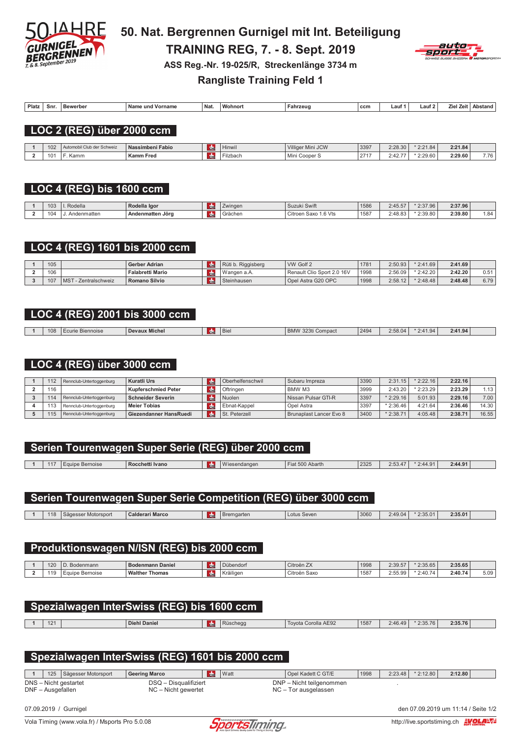

50. Nat. Bergrennen Gurnigel mit Int. Beteiligung **TRAINING REG, 7. - 8. Sept. 2019** ASS Reg.-Nr. 19-025/R, Streckenlänge 3734 m **Rangliste Training Feld 1** 



| <b>Platz</b> | Snr | Bewerber | <b>Nam</b><br>Vorname<br>und | ' Nat. | <b>Wohnon</b> | Fahrzeuc | ccm | ∟au* | ∟aut | $\lambda$ iol<br>$\overline{\phantom{a}}$ | Ans.<br>itand |
|--------------|-----|----------|------------------------------|--------|---------------|----------|-----|------|------|-------------------------------------------|---------------|
|              |     |          |                              |        |               |          |     |      |      |                                           |               |

#### LOC 2 (REG) über 2000 ccm

| 102 | 'l Club der Schweiz | ussimbeni Fabio<br>Na | lınwıl<br>. | Villiger Mini JCW | 3397         | 2:28.30                                    | $*2:21.84$ | 2:21.84 |      |
|-----|---------------------|-----------------------|-------------|-------------------|--------------|--------------------------------------------|------------|---------|------|
| 101 | Kamm                | <b>Kamm Fred</b>      | 'zbach      | Min.<br>Cooper S  | 2747<br>$-1$ | $2.4^\circ$<br>$\sim$ $\sim$ $\sim$ $\sim$ | * 2:29.60  | 2:29.60 | 7.76 |

# LOC 4 (REG) bis 1600 ccm

| 103 | Rodella        | Rodella Igor     | Zwinger | $-1$ $-1$ $-1$<br>Suzuki Swift | 1586 | $J-A5F$<br>2.49.91 | 2:37.96    | 2:37.96 |      |
|-----|----------------|------------------|---------|--------------------------------|------|--------------------|------------|---------|------|
| 104 | lenmatten<br>. | Andenmatten Jörg | Grächer | 1.6 Vts<br>ı Saxo<br>Citroen   | 1587 | 2.48P<br>2.40.00   | $*2:39.80$ | 2:39.80 | 84،، |

#### LOC 4 (REG) 1601 bis 2000 ccm

| 105 |                                    | Gerber Adrian           | . Riggisberg<br>Rüti I | <b>VW Golf 2</b>           | 1781 | 2:50.93 | $*2:41.69$ | 2:41.69 |      |
|-----|------------------------------------|-------------------------|------------------------|----------------------------|------|---------|------------|---------|------|
| 106 |                                    | <b>Falabretti Mario</b> | Wangen a.A.            | Renault Clio Sport 2.0 16V | 1998 | 2:56.09 | $*2:42.20$ | 2:42.20 | 0.51 |
| 107 | M <sub>S</sub><br>- Zentralschweiz | Romano Silvio           | Steinhausen            | Opel Astra G20 OPC         | 1998 | 2:58.12 | $*2:48.48$ | 2:48.48 | 6.79 |

# LOC 4 (REG) 2001 bis 3000 ccm

| 2:41.94<br><b>Michel</b><br>2494<br>108<br>2:58.04<br>2:41.94<br>Biel<br>$RMM$ 323ti $C$<br>l Devaux<br>curie<br>i Compact<br>Biennoise<br>DIVIV<br>0.25 |  |  |  |  |  |  |
|----------------------------------------------------------------------------------------------------------------------------------------------------------|--|--|--|--|--|--|
|                                                                                                                                                          |  |  |  |  |  |  |

#### LOC 4 (REG) über 3000 ccm

| 112 | Rennclub-Untertoggenburg | Kuratli Urs                | <b>CHE</b>    | Oberhelfenschwil | Subaru Impreza          | 3390 | 2:31<br>.15 | $*2:22.16$ | 2:22.16 |       |
|-----|--------------------------|----------------------------|---------------|------------------|-------------------------|------|-------------|------------|---------|-------|
| 116 |                          | <b>Kupferschmied Peter</b> | CH            | Oftringen        | <b>BMW M3</b>           | 3999 | 2:43.20     | $*2:23.29$ | 2:23.29 | 1.13  |
| 114 | Rennclub-Untertoggenburg | <b>Schneider Severin</b>   | CHE           | Nuolen           | l Nissan Pulsar GTI-R   | 3397 | $*2:29.16$  | 5:01.93    | 2:29.16 | 7.00  |
| 113 | Rennclub-Untertoggenburg | <b>Meier Tobias</b>        | <b>CH</b>     | Ebnat-Kappel     | Opel Astra              | 3397 | $*2:36.46$  | 4:21.64    | 2:36.46 | 14.30 |
| 115 | Rennclub-Untertoggenburg | Giezendanner HansRuedi     | <b>REFERE</b> | St. Peterzell    | Brunaplast Lancer Evo 8 | 3400 | 2:38.71     | 4:05.48    | 2:38.71 | 16.55 |

# Serien Tourenwagen Super Serie (REG) über 2000 ccm

| H L L<br>$\ldots$ . $\ldots$<br>Audill.<br>וסטונאג<br>$-1 - 1$ | 2325<br>$\cdot$ $\cdot$ $-$<br>$\cdots$<br>$-1$<br><b>Ivano</b><br>7.10<br>∣ Rocchetti∶<br>3ernoise<br>$\cdots$<br>$n_{AB}$<br>$N$ horth<br>naoi | 64 ו |
|----------------------------------------------------------------|--------------------------------------------------------------------------------------------------------------------------------------------------|------|
|----------------------------------------------------------------|--------------------------------------------------------------------------------------------------------------------------------------------------|------|

#### Serien Tourenwagen Super Serie Competition (REG) über 3000 ccm

| $  -$<br>18<br>$\sqrt{2}$<br>Marco<br>$S$ $\Omega$<br><b>Bremgarten</b><br>spor<br>$\cdot$<br><b>IVIUIUI</b><br><b>TCHE</b> | 3060<br>2.49.04 | 2:35.01 | 2:35.01 |  |
|-----------------------------------------------------------------------------------------------------------------------------|-----------------|---------|---------|--|

# Produktionswagen N/ISN (REG) bis 2000 ccm

| 120     | Bodenmann          | в.<br>enmann Daniel<br><b>D</b> | <b>CHI</b> | Dübendorf  | $\rightarrow$<br>$\sim$<br>Citroën ∠X | 1998 | 2:39.5          | 2:35.65                        | 2:35.65 |      |
|---------|--------------------|---------------------------------|------------|------------|---------------------------------------|------|-----------------|--------------------------------|---------|------|
| 10<br>. | Bernoise<br>-quipe | <b>Walther</b><br>Thomas        |            | Kräiliger. | $\sim$<br>, Saxo<br>Citroën           | 1587 | 2.55<br>2:55.99 | 2:40.7<br>$\sim$ $\sim$<br>. . | 2:40.74 | 5.09 |

| Spezialwagen InterSwiss (REG) bis 1600 ccm |  |                     |            |          |                     |      |         |            |         |  |  |
|--------------------------------------------|--|---------------------|------------|----------|---------------------|------|---------|------------|---------|--|--|
| 121                                        |  | <b>Diehl Daniel</b> | <b>CHE</b> | Rüschegg | Tovota Corolla AE92 | 1587 | 2:46.49 | $*2:35.76$ | 2:35.76 |  |  |
|                                            |  |                     |            |          |                     |      |         |            |         |  |  |
|                                            |  |                     |            |          |                     |      |         |            |         |  |  |
|                                            |  |                     |            |          |                     |      |         |            |         |  |  |

# Spezialwagen InterSwiss (REG) 1601 bis 2000 ccm

 $\overline{1}$ 125 | Sägesser Motorsport **Geering Marco CHE** Watt Opel Kadett C GT/E  $|1998|$  $2:23.48$  \* 2:12.80  $2:12.80$ DNS - Nicht gestartet DSQ - Disqualifiziert DNP - Nicht teilgenommen DNF - Ausgefallen NC - Nicht gewertet NC - Tor ausgelassen

07.09.2019 / Gurnigel